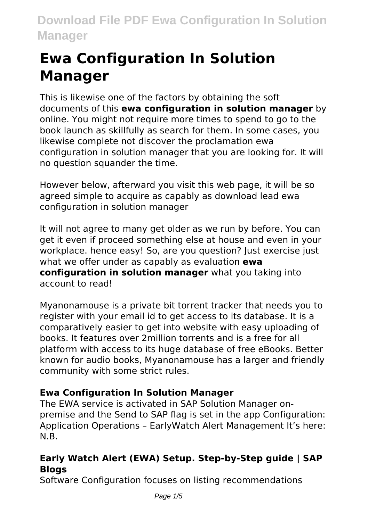# **Ewa Configuration In Solution Manager**

This is likewise one of the factors by obtaining the soft documents of this **ewa configuration in solution manager** by online. You might not require more times to spend to go to the book launch as skillfully as search for them. In some cases, you likewise complete not discover the proclamation ewa configuration in solution manager that you are looking for. It will no question squander the time.

However below, afterward you visit this web page, it will be so agreed simple to acquire as capably as download lead ewa configuration in solution manager

It will not agree to many get older as we run by before. You can get it even if proceed something else at house and even in your workplace. hence easy! So, are you question? Just exercise just what we offer under as capably as evaluation **ewa configuration in solution manager** what you taking into account to read!

Myanonamouse is a private bit torrent tracker that needs you to register with your email id to get access to its database. It is a comparatively easier to get into website with easy uploading of books. It features over 2million torrents and is a free for all platform with access to its huge database of free eBooks. Better known for audio books, Myanonamouse has a larger and friendly community with some strict rules.

### **Ewa Configuration In Solution Manager**

The EWA service is activated in SAP Solution Manager onpremise and the Send to SAP flag is set in the app Configuration: Application Operations – EarlyWatch Alert Management It's here: N.B.

### **Early Watch Alert (EWA) Setup. Step-by-Step guide | SAP Blogs**

Software Configuration focuses on listing recommendations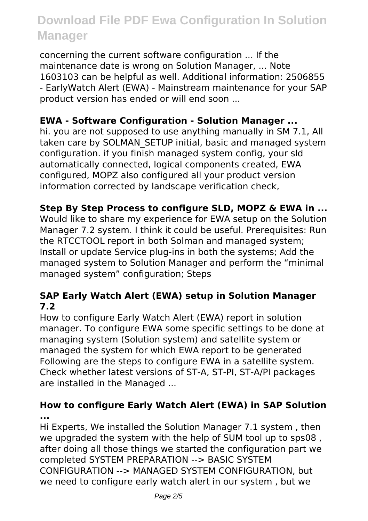concerning the current software configuration ... If the maintenance date is wrong on Solution Manager, ... Note 1603103 can be helpful as well. Additional information: 2506855 - EarlyWatch Alert (EWA) - Mainstream maintenance for your SAP product version has ended or will end soon ...

#### **EWA - Software Configuration - Solution Manager ...**

hi. you are not supposed to use anything manually in SM 7.1, All taken care by SOLMAN\_SETUP initial, basic and managed system configuration. if you finish managed system config, your sld automatically connected, logical components created, EWA configured, MOPZ also configured all your product version information corrected by landscape verification check,

#### **Step By Step Process to configure SLD, MOPZ & EWA in ...**

Would like to share my experience for EWA setup on the Solution Manager 7.2 system. I think it could be useful. Prerequisites: Run the RTCCTOOL report in both Solman and managed system; Install or update Service plug-ins in both the systems; Add the managed system to Solution Manager and perform the "minimal managed system" configuration; Steps

#### **SAP Early Watch Alert (EWA) setup in Solution Manager 7.2**

How to configure Early Watch Alert (EWA) report in solution manager. To configure EWA some specific settings to be done at managing system (Solution system) and satellite system or managed the system for which EWA report to be generated Following are the steps to configure EWA in a satellite system. Check whether latest versions of ST-A, ST-PI, ST-A/PI packages are installed in the Managed ...

#### **How to configure Early Watch Alert (EWA) in SAP Solution ...**

Hi Experts, We installed the Solution Manager 7.1 system , then we upgraded the system with the help of SUM tool up to sps08 , after doing all those things we started the configuration part we completed SYSTEM PREPARATION --> BASIC SYSTEM CONFIGURATION --> MANAGED SYSTEM CONFIGURATION, but we need to configure early watch alert in our system , but we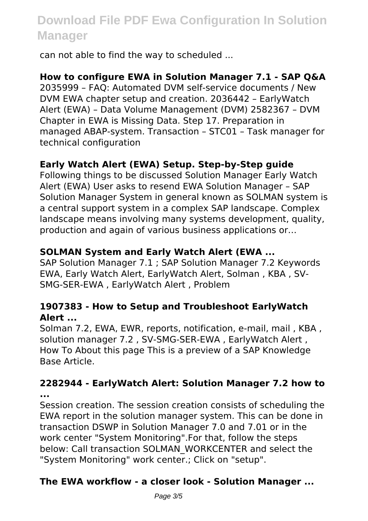can not able to find the way to scheduled ...

#### **How to configure EWA in Solution Manager 7.1 - SAP Q&A**

2035999 – FAQ: Automated DVM self-service documents / New DVM EWA chapter setup and creation. 2036442 – EarlyWatch Alert (EWA) – Data Volume Management (DVM) 2582367 – DVM Chapter in EWA is Missing Data. Step 17. Preparation in managed ABAP-system. Transaction – STC01 – Task manager for technical configuration

#### **Early Watch Alert (EWA) Setup. Step-by-Step guide**

Following things to be discussed Solution Manager Early Watch Alert (EWA) User asks to resend EWA Solution Manager – SAP Solution Manager System in general known as SOLMAN system is a central support system in a complex SAP landscape. Complex landscape means involving many systems development, quality, production and again of various business applications or…

#### **SOLMAN System and Early Watch Alert (EWA ...**

SAP Solution Manager 7.1 ; SAP Solution Manager 7.2 Keywords EWA, Early Watch Alert, EarlyWatch Alert, Solman , KBA , SV-SMG-SER-EWA , EarlyWatch Alert , Problem

#### **1907383 - How to Setup and Troubleshoot EarlyWatch Alert ...**

Solman 7.2, EWA, EWR, reports, notification, e-mail, mail , KBA , solution manager 7.2 , SV-SMG-SER-EWA , EarlyWatch Alert , How To About this page This is a preview of a SAP Knowledge Base Article.

#### **2282944 - EarlyWatch Alert: Solution Manager 7.2 how to ...**

Session creation. The session creation consists of scheduling the EWA report in the solution manager system. This can be done in transaction DSWP in Solution Manager 7.0 and 7.01 or in the work center "System Monitoring".For that, follow the steps below: Call transaction SOLMAN\_WORKCENTER and select the "System Monitoring" work center.; Click on "setup".

#### **The EWA workflow - a closer look - Solution Manager ...**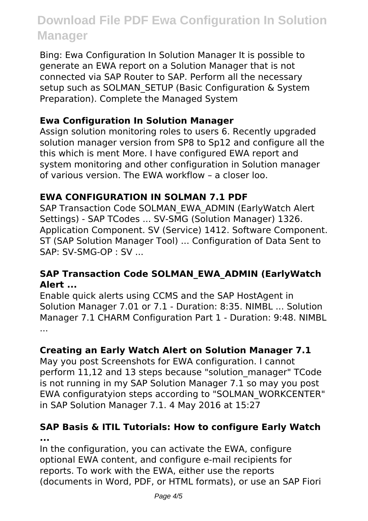Bing: Ewa Configuration In Solution Manager It is possible to generate an EWA report on a Solution Manager that is not connected via SAP Router to SAP. Perform all the necessary setup such as SOLMAN\_SETUP (Basic Configuration & System Preparation). Complete the Managed System

#### **Ewa Configuration In Solution Manager**

Assign solution monitoring roles to users 6. Recently upgraded solution manager version from SP8 to Sp12 and configure all the this which is ment More. I have configured EWA report and system monitoring and other configuration in Solution manager of various version. The EWA workflow – a closer loo.

#### **EWA CONFIGURATION IN SOLMAN 7.1 PDF**

SAP Transaction Code SOLMAN\_EWA\_ADMIN (EarlyWatch Alert Settings) - SAP TCodes ... SV-SMG (Solution Manager) 1326. Application Component. SV (Service) 1412. Software Component. ST (SAP Solution Manager Tool) ... Configuration of Data Sent to SAP: SV-SMG-OP : SV ...

#### **SAP Transaction Code SOLMAN\_EWA\_ADMIN (EarlyWatch Alert ...**

Enable quick alerts using CCMS and the SAP HostAgent in Solution Manager 7.01 or 7.1 - Duration: 8:35. NIMBL ... Solution Manager 7.1 CHARM Configuration Part 1 - Duration: 9:48. NIMBL ...

#### **Creating an Early Watch Alert on Solution Manager 7.1**

May you post Screenshots for EWA configuration. I cannot perform 11,12 and 13 steps because "solution\_manager" TCode is not running in my SAP Solution Manager 7.1 so may you post EWA configuratyion steps according to "SOLMAN\_WORKCENTER" in SAP Solution Manager 7.1. 4 May 2016 at 15:27

#### **SAP Basis & ITIL Tutorials: How to configure Early Watch ...**

In the configuration, you can activate the EWA, configure optional EWA content, and configure e-mail recipients for reports. To work with the EWA, either use the reports (documents in Word, PDF, or HTML formats), or use an SAP Fiori